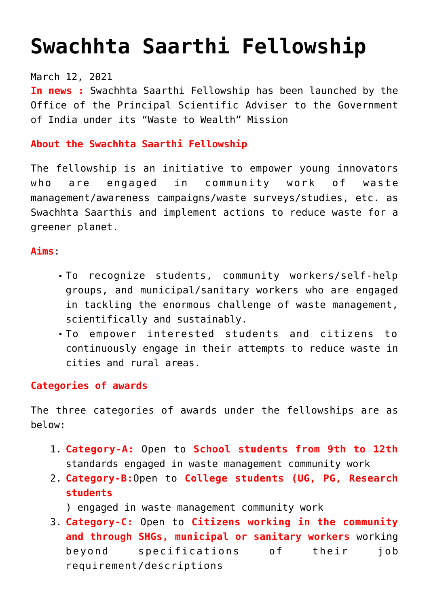# **[Swachhta Saarthi Fellowship](https://journalsofindia.com/swachhta-saarthi-fellowship/)**

## March 12, 2021

**In news :** Swachhta Saarthi Fellowship has been launched by the Office of the Principal Scientific Adviser to the Government of India under its "Waste to Wealth" Mission

# **About the Swachhta Saarthi Fellowship**

The fellowship is an initiative to empower young innovators who are engaged in community work of waste management/awareness campaigns/waste surveys/studies, etc. as Swachhta Saarthis and implement actions to reduce waste for a greener planet.

#### **Aims**:

- To recognize students, community workers/self-help groups, and municipal/sanitary workers who are engaged in tackling the enormous challenge of waste management, scientifically and sustainably.
- To empower interested students and citizens to continuously engage in their attempts to reduce waste in cities and rural areas.

#### **Categories of awards**

The three categories of awards under the fellowships are as below:

- 1. **Category-A:** Open to **School students from 9th to 12th** standards engaged in waste management community work
- 2. **Category-B:**Open to **College students (UG, PG, Research students**
	- ) engaged in waste management community work
- 3. **Category-C:** Open to **Citizens working in the community and through SHGs, municipal or sanitary workers** working beyond specifications of their job requirement/descriptions